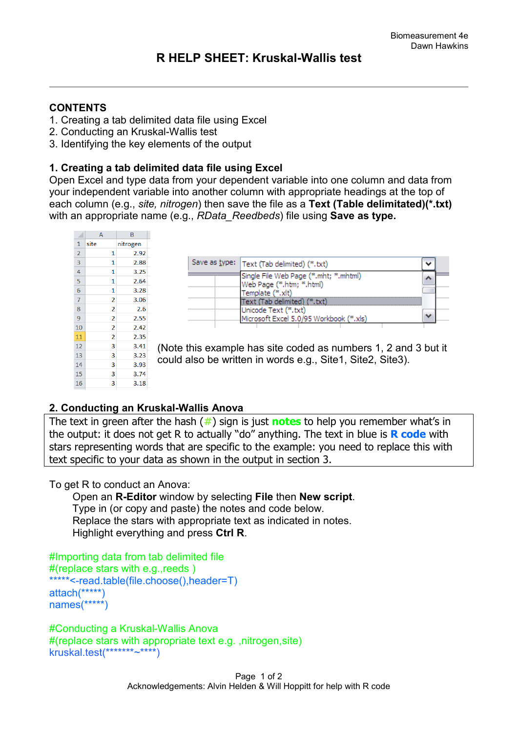### **CONTENTS**

- 1. Creating a tab delimited data file using Excel
- 2. Conducting an Kruskal-Wallis test
- 3. Identifying the key elements of the output

## **1. Creating a tab delimited data file using Excel**

Open Excel and type data from your dependent variable into one column and data from your independent variable into another column with appropriate headings at the top of each column (e.g., *site, nitrogen*) then save the file as a **Text (Table delimitated)(\*.txt)** with an appropriate name (e.g., *RData\_Reedbeds*) file using **Save as type.** 

|                | A              | B        |   |
|----------------|----------------|----------|---|
| 1              | site           | nitrogen |   |
| $\overline{2}$ | 1              | 2.92     |   |
| 3              | 1              | 2.88     |   |
| 4              | 1              | 3.25     |   |
| 5              | 1              | 2.64     |   |
| 6              | 1              | 3.28     |   |
| 7              | 2              | 3.06     |   |
| 8              | 2              | 2.6      |   |
| 9              | $\overline{2}$ | 2.55     |   |
| 10             | 2              | 2.42     |   |
| 11             | 2              | 2.35     |   |
| 12             | 3              | 3.41     |   |
| 13             | 3              | 3.23     | ( |
| 14             | 3              | 3.93     | Ć |
| 15             | 3              | 3.74     |   |
| 16             | 3              | 3.18     |   |

| Save as type:   Text (Tab delimited) (*.txt)                      |  |
|-------------------------------------------------------------------|--|
| Single File Web Page (*.mht; *.mhtml)<br>Web Page (*.htm; *.html) |  |
| Template (*.xlt)                                                  |  |
| Text (Tab delimited) (*.txt)<br>Unicode Text (*.txt)              |  |
| Microsoft Excel 5.0/95 Workbook (*.xls)                           |  |

Note this example has site coded as numbers 1, 2 and 3 but it could also be written in words e.g., Site1, Site2, Site3).

# **2. Conducting an Kruskal-Wallis Anova**

The text in green after the hash (**#**) sign is just **notes** to help you remember what's in the output: it does not get R to actually "do" anything. The text in blue is **R code** with stars representing words that are specific to the example: you need to replace this with text specific to your data as shown in the output in section 3.

To get R to conduct an Anova:

 Open an **R-Editor** window by selecting **File** then **New script**. Type in (or copy and paste) the notes and code below. Replace the stars with appropriate text as indicated in notes. Highlight everything and press **Ctrl R**.

```
#Importing data from tab delimited file 
#(replace stars with e.g.,reeds )
*****<-read.table(file.choose(),header=T)
attach(*****)
names(*****)
```

```
#Conducting a Kruskal-Wallis Anova 
#(replace stars with appropriate text e.g. ,nitrogen,site)
kruskal.test(*******~****)
```